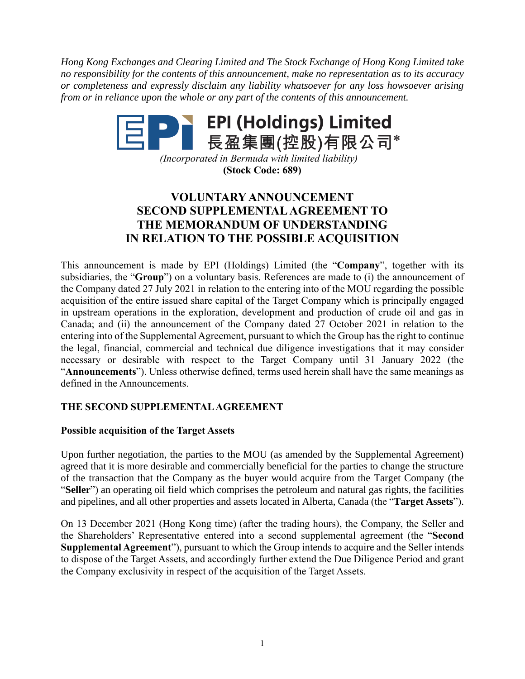*Hong Kong Exchanges and Clearing Limited and The Stock Exchange of Hong Kong Limited take no responsibility for the contents of this announcement, make no representation as to its accuracy or completeness and expressly disclaim any liability whatsoever for any loss howsoever arising from or in reliance upon the whole or any part of the contents of this announcement.*

# 

*(Incorporated in Bermuda with limited liability)* **(Stock Code: 689)**

## **VOLUNTARY ANNOUNCEMENT SECOND SUPPLEMENTAL AGREEMENT TO THE MEMORANDUM OF UNDERSTANDING IN RELATION TO THE POSSIBLE ACQUISITION**

This announcement is made by EPI (Holdings) Limited (the "**Company**", together with its subsidiaries, the "**Group**") on a voluntary basis. References are made to (i) the announcement of the Company dated 27 July 2021 in relation to the entering into of the MOU regarding the possible acquisition of the entire issued share capital of the Target Company which is principally engaged in upstream operations in the exploration, development and production of crude oil and gas in Canada; and (ii) the announcement of the Company dated 27 October 2021 in relation to the entering into of the Supplemental Agreement, pursuant to which the Group has the right to continue the legal, financial, commercial and technical due diligence investigations that it may consider necessary or desirable with respect to the Target Company until 31 January 2022 (the "**Announcements**"). Unless otherwise defined, terms used herein shall have the same meanings as defined in the Announcements.

### **THE SECOND SUPPLEMENTAL AGREEMENT**

#### **Possible acquisition of the Target Assets**

Upon further negotiation, the parties to the MOU (as amended by the Supplemental Agreement) agreed that it is more desirable and commercially beneficial for the parties to change the structure of the transaction that the Company as the buyer would acquire from the Target Company (the "**Seller**") an operating oil field which comprises the petroleum and natural gas rights, the facilities and pipelines, and all other properties and assets located in Alberta, Canada (the "**Target Assets**").

On 13 December 2021 (Hong Kong time) (after the trading hours), the Company, the Seller and the Shareholders' Representative entered into a second supplemental agreement (the "**Second Supplemental Agreement**"), pursuant to which the Group intends to acquire and the Seller intends to dispose of the Target Assets, and accordingly further extend the Due Diligence Period and grant the Company exclusivity in respect of the acquisition of the Target Assets.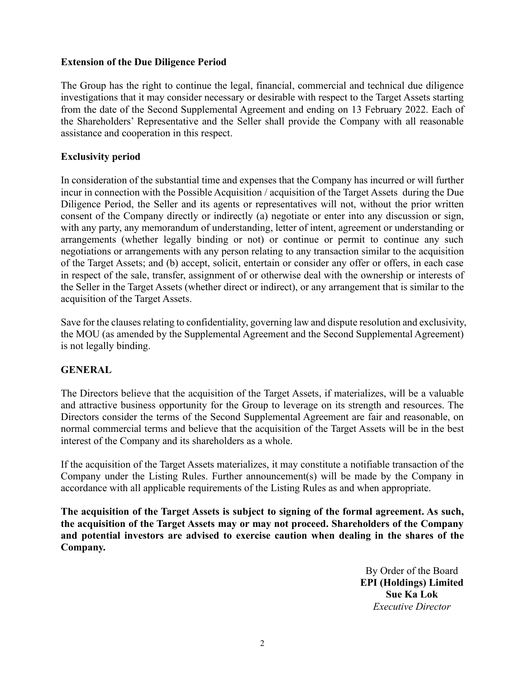#### **Extension of the Due Diligence Period**

The Group has the right to continue the legal, financial, commercial and technical due diligence investigations that it may consider necessary or desirable with respect to the Target Assets starting from the date of the Second Supplemental Agreement and ending on 13 February 2022. Each of the Shareholders' Representative and the Seller shall provide the Company with all reasonable assistance and cooperation in this respect.

#### **Exclusivity period**

In consideration of the substantial time and expenses that the Company has incurred or will further incur in connection with the Possible Acquisition / acquisition of the Target Assets during the Due Diligence Period, the Seller and its agents or representatives will not, without the prior written consent of the Company directly or indirectly (a) negotiate or enter into any discussion or sign, with any party, any memorandum of understanding, letter of intent, agreement or understanding or arrangements (whether legally binding or not) or continue or permit to continue any such negotiations or arrangements with any person relating to any transaction similar to the acquisition of the Target Assets; and (b) accept, solicit, entertain or consider any offer or offers, in each case in respect of the sale, transfer, assignment of or otherwise deal with the ownership or interests of the Seller in the Target Assets (whether direct or indirect), or any arrangement that is similar to the acquisition of the Target Assets.

Save for the clauses relating to confidentiality, governing law and dispute resolution and exclusivity, the MOU (as amended by the Supplemental Agreement and the Second Supplemental Agreement) is not legally binding.

#### **GENERAL**

The Directors believe that the acquisition of the Target Assets, if materializes, will be a valuable and attractive business opportunity for the Group to leverage on its strength and resources. The Directors consider the terms of the Second Supplemental Agreement are fair and reasonable, on normal commercial terms and believe that the acquisition of the Target Assets will be in the best interest of the Company and its shareholders as a whole.

If the acquisition of the Target Assets materializes, it may constitute a notifiable transaction of the Company under the Listing Rules. Further announcement(s) will be made by the Company in accordance with all applicable requirements of the Listing Rules as and when appropriate.

**The acquisition of the Target Assets is subject to signing of the formal agreement. As such, the acquisition of the Target Assets may or may not proceed. Shareholders of the Company and potential investors are advised to exercise caution when dealing in the shares of the Company.**

> By Order of the Board **EPI (Holdings) Limited Sue Ka Lok** *Executive Director*